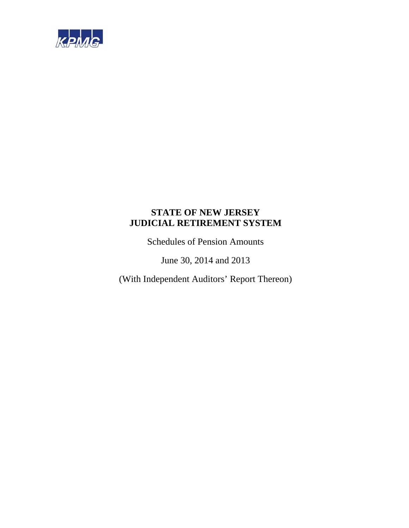

Schedules of Pension Amounts

June 30, 2014 and 2013

(With Independent Auditors' Report Thereon)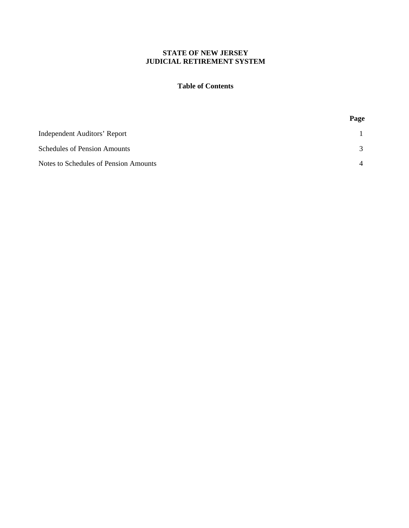### **Table of Contents**

|                                       | Page           |
|---------------------------------------|----------------|
| Independent Auditors' Report          |                |
| <b>Schedules of Pension Amounts</b>   | $\mathcal{R}$  |
| Notes to Schedules of Pension Amounts | $\overline{4}$ |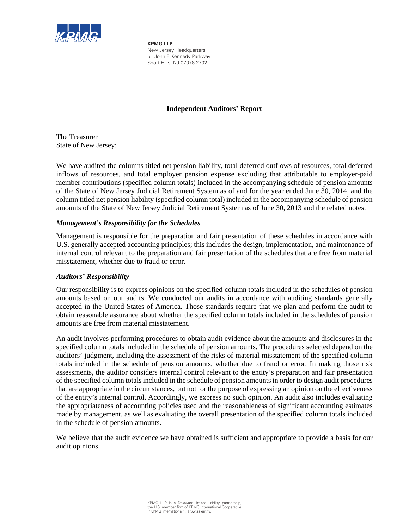

**KPMG LLP** New Jersey Headquarters 51 John F. Kennedy Parkway Short Hills, NJ 07078-2702

## **Independent Auditors' Report**

The Treasurer State of New Jersey:

We have audited the columns titled net pension liability, total deferred outflows of resources, total deferred inflows of resources, and total employer pension expense excluding that attributable to employer-paid member contributions (specified column totals) included in the accompanying schedule of pension amounts of the State of New Jersey Judicial Retirement System as of and for the year ended June 30, 2014, and the column titled net pension liability (specified column total) included in the accompanying schedule of pension amounts of the State of New Jersey Judicial Retirement System as of June 30, 2013 and the related notes.

### *Management's Responsibility for the Schedules*

Management is responsible for the preparation and fair presentation of these schedules in accordance with U.S. generally accepted accounting principles; this includes the design, implementation, and maintenance of internal control relevant to the preparation and fair presentation of the schedules that are free from material misstatement, whether due to fraud or error.

### *Auditors' Responsibility*

Our responsibility is to express opinions on the specified column totals included in the schedules of pension amounts based on our audits. We conducted our audits in accordance with auditing standards generally accepted in the United States of America. Those standards require that we plan and perform the audit to obtain reasonable assurance about whether the specified column totals included in the schedules of pension amounts are free from material misstatement.

An audit involves performing procedures to obtain audit evidence about the amounts and disclosures in the specified column totals included in the schedule of pension amounts. The procedures selected depend on the auditors' judgment, including the assessment of the risks of material misstatement of the specified column totals included in the schedule of pension amounts, whether due to fraud or error. In making those risk assessments, the auditor considers internal control relevant to the entity's preparation and fair presentation of the specified column totals included in the schedule of pension amounts in order to design audit procedures that are appropriate in the circumstances, but not for the purpose of expressing an opinion on the effectiveness of the entity's internal control. Accordingly, we express no such opinion. An audit also includes evaluating the appropriateness of accounting policies used and the reasonableness of significant accounting estimates made by management, as well as evaluating the overall presentation of the specified column totals included in the schedule of pension amounts.

We believe that the audit evidence we have obtained is sufficient and appropriate to provide a basis for our audit opinions.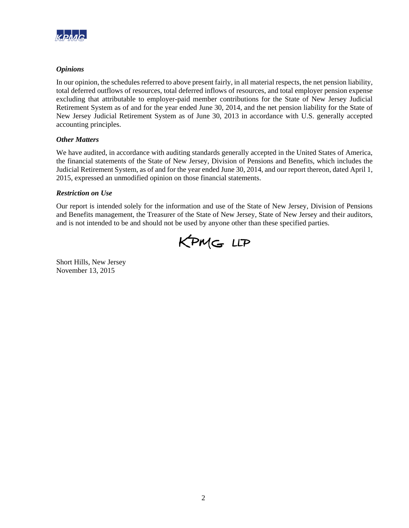

### *Opinions*

In our opinion, the schedules referred to above present fairly, in all material respects, the net pension liability, total deferred outflows of resources, total deferred inflows of resources, and total employer pension expense excluding that attributable to employer-paid member contributions for the State of New Jersey Judicial Retirement System as of and for the year ended June 30, 2014, and the net pension liability for the State of New Jersey Judicial Retirement System as of June 30, 2013 in accordance with U.S. generally accepted accounting principles.

### *Other Matters*

We have audited, in accordance with auditing standards generally accepted in the United States of America, the financial statements of the State of New Jersey, Division of Pensions and Benefits, which includes the Judicial Retirement System, as of and for the year ended June 30, 2014, and our report thereon, dated April 1, 2015, expressed an unmodified opinion on those financial statements.

### *Restriction on Use*

Our report is intended solely for the information and use of the State of New Jersey, Division of Pensions and Benefits management, the Treasurer of the State of New Jersey, State of New Jersey and their auditors, and is not intended to be and should not be used by anyone other than these specified parties.



Short Hills, New Jersey November 13, 2015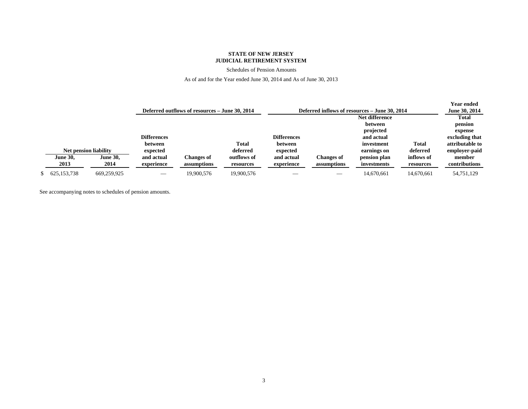Schedules of Pension Amounts

As of and for the Year ended June 30, 2014 and As of June 30, 2013

|                              |                 |                    |                                                |             |                    |                   |                                               |            | Year ended      |
|------------------------------|-----------------|--------------------|------------------------------------------------|-------------|--------------------|-------------------|-----------------------------------------------|------------|-----------------|
|                              |                 |                    | Deferred outflows of resources – June 30, 2014 |             |                    |                   | Deferred inflows of resources – June 30, 2014 |            | June 30, 2014   |
|                              |                 |                    |                                                |             |                    |                   | Net difference                                |            | Total           |
|                              |                 |                    |                                                |             |                    |                   | between                                       |            | pension         |
|                              |                 |                    |                                                |             |                    |                   | projected                                     |            | expense         |
|                              |                 | <b>Differences</b> |                                                |             | <b>Differences</b> |                   | and actual                                    |            | excluding that  |
|                              |                 | between            |                                                | Total       | between            |                   | investment                                    | Total      | attributable to |
| <b>Net pension liability</b> |                 | expected           |                                                | deferred    | expected           |                   | earnings on                                   | deferred   | employer-paid   |
| <b>June 30,</b>              | <b>June 30,</b> | and actual         | Changes of                                     | outflows of | and actual         | <b>Changes of</b> | pension plan                                  | inflows of | member          |
| 2013                         | 2014            | experience         | assumptions                                    | resources   | experience         | assumptions       | investments                                   | resources  | contributions   |
| 625, 153, 738                | 669,259,925     |                    | 19.900.576                                     | 19,900,576  |                    |                   | 14,670,661                                    | 14,670,661 | 54,751,129      |

See accompanying notes to schedules of pension amounts.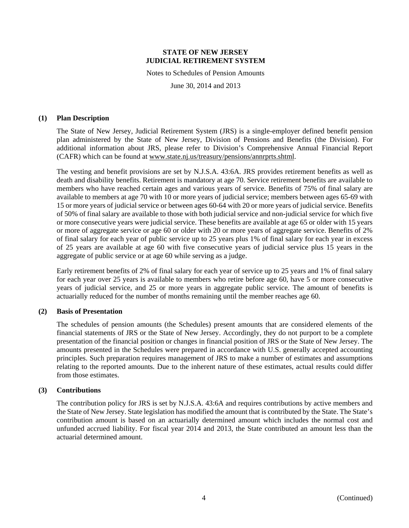Notes to Schedules of Pension Amounts

June 30, 2014 and 2013

#### **(1) Plan Description**

The State of New Jersey, Judicial Retirement System (JRS) is a single-employer defined benefit pension plan administered by the State of New Jersey, Division of Pensions and Benefits (the Division). For additional information about JRS, please refer to Division's Comprehensive Annual Financial Report (CAFR) which can be found at www.state.nj.us/treasury/pensions/annrprts.shtml.

The vesting and benefit provisions are set by N.J.S.A. 43:6A. JRS provides retirement benefits as well as death and disability benefits. Retirement is mandatory at age 70. Service retirement benefits are available to members who have reached certain ages and various years of service. Benefits of 75% of final salary are available to members at age 70 with 10 or more years of judicial service; members between ages 65-69 with 15 or more years of judicial service or between ages 60-64 with 20 or more years of judicial service. Benefits of 50% of final salary are available to those with both judicial service and non-judicial service for which five or more consecutive years were judicial service. These benefits are available at age 65 or older with 15 years or more of aggregate service or age 60 or older with 20 or more years of aggregate service. Benefits of 2% of final salary for each year of public service up to 25 years plus 1% of final salary for each year in excess of 25 years are available at age 60 with five consecutive years of judicial service plus 15 years in the aggregate of public service or at age 60 while serving as a judge.

Early retirement benefits of 2% of final salary for each year of service up to 25 years and 1% of final salary for each year over 25 years is available to members who retire before age 60, have 5 or more consecutive years of judicial service, and 25 or more years in aggregate public service. The amount of benefits is actuarially reduced for the number of months remaining until the member reaches age 60.

#### **(2) Basis of Presentation**

The schedules of pension amounts (the Schedules) present amounts that are considered elements of the financial statements of JRS or the State of New Jersey. Accordingly, they do not purport to be a complete presentation of the financial position or changes in financial position of JRS or the State of New Jersey. The amounts presented in the Schedules were prepared in accordance with U.S. generally accepted accounting principles. Such preparation requires management of JRS to make a number of estimates and assumptions relating to the reported amounts. Due to the inherent nature of these estimates, actual results could differ from those estimates.

#### **(3) Contributions**

The contribution policy for JRS is set by N.J.S.A. 43:6A and requires contributions by active members and the State of New Jersey. State legislation has modified the amount that is contributed by the State. The State's contribution amount is based on an actuarially determined amount which includes the normal cost and unfunded accrued liability. For fiscal year 2014 and 2013, the State contributed an amount less than the actuarial determined amount.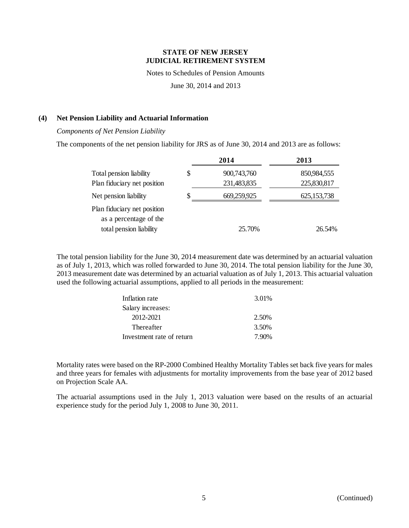Notes to Schedules of Pension Amounts

June 30, 2014 and 2013

### **(4) Net Pension Liability and Actuarial Information**

*Components of Net Pension Liability* 

The components of the net pension liability for JRS as of June 30, 2014 and 2013 are as follows:

|                                                       | 2014              | 2013          |
|-------------------------------------------------------|-------------------|---------------|
| Total pension liability                               | \$<br>900,743,760 | 850,984,555   |
| Plan fiduciary net position                           | 231,483,835       | 225,830,817   |
| Net pension liability                                 | 669,259,925       | 625, 153, 738 |
| Plan fiduciary net position<br>as a percentage of the |                   |               |
| total pension liability                               | 25.70%            | 26.54%        |

The total pension liability for the June 30, 2014 measurement date was determined by an actuarial valuation as of July 1, 2013, which was rolled forwarded to June 30, 2014. The total pension liability for the June 30, 2013 measurement date was determined by an actuarial valuation as of July 1, 2013. This actuarial valuation used the following actuarial assumptions, applied to all periods in the measurement:

| Inflation rate            | 3.01% |
|---------------------------|-------|
| Salary increases:         |       |
| 2012-2021                 | 2.50% |
| Thereafter                | 3.50% |
| Investment rate of return | 7.90% |

Mortality rates were based on the RP-2000 Combined Healthy Mortality Tables set back five years for males and three years for females with adjustments for mortality improvements from the base year of 2012 based on Projection Scale AA.

The actuarial assumptions used in the July 1, 2013 valuation were based on the results of an actuarial experience study for the period July 1, 2008 to June 30, 2011.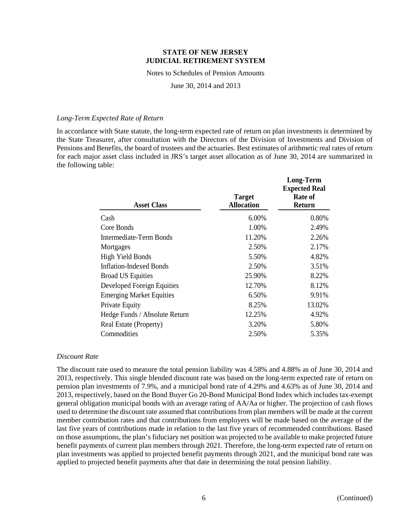Notes to Schedules of Pension Amounts

June 30, 2014 and 2013

#### *Long-Term Expected Rate of Return*

In accordance with State statute, the long-term expected rate of return on plan investments is determined by the State Treasurer, after consultation with the Directors of the Division of Investments and Division of Pensions and Benefits, the board of trustees and the actuaries. Best estimates of arithmetic real rates of return for each major asset class included in JRS's target asset allocation as of June 30, 2014 are summarized in the following table:

**Long-Term**

| <b>Asset Class</b>              | <b>Target</b><br><b>Allocation</b> | <b>LUILE-TELIII</b><br><b>Expected Real</b><br>Rate of<br><b>Return</b> |
|---------------------------------|------------------------------------|-------------------------------------------------------------------------|
| Cash                            | 6.00%                              | 0.80%                                                                   |
| Core Bonds                      | 1.00%                              | 2.49%                                                                   |
| Intermediate-Term Bonds         | 11.20%                             | 2.26%                                                                   |
| Mortgages                       | 2.50%                              | 2.17%                                                                   |
| <b>High Yield Bonds</b>         | 5.50%                              | 4.82%                                                                   |
| <b>Inflation-Indexed Bonds</b>  | 2.50%                              | 3.51%                                                                   |
| <b>Broad US Equities</b>        | 25.90%                             | 8.22%                                                                   |
| Developed Foreign Equities      | 12.70%                             | 8.12%                                                                   |
| <b>Emerging Market Equities</b> | 6.50%                              | 9.91%                                                                   |
| Private Equity                  | 8.25%                              | 13.02%                                                                  |
| Hedge Funds / Absolute Return   | 12.25%                             | 4.92%                                                                   |
| Real Estate (Property)          | 3.20%                              | 5.80%                                                                   |
| Commodities                     | 2.50%                              | 5.35%                                                                   |

#### *Discount Rate*

The discount rate used to measure the total pension liability was 4.58% and 4.88% as of June 30, 2014 and 2013, respectively. This single blended discount rate was based on the long-term expected rate of return on pension plan investments of 7.9%, and a municipal bond rate of 4.29% and 4.63% as of June 30, 2014 and 2013, respectively, based on the Bond Buyer Go 20-Bond Municipal Bond Index which includes tax-exempt general obligation municipal bonds with an average rating of AA/Aa or higher. The projection of cash flows used to determine the discount rate assumed that contributions from plan members will be made at the current member contribution rates and that contributions from employers will be made based on the average of the last five years of contributions made in relation to the last five years of recommended contributions. Based on those assumptions, the plan's fiduciary net position was projected to be available to make projected future benefit payments of current plan members through 2021. Therefore, the long-term expected rate of return on plan investments was applied to projected benefit payments through 2021, and the municipal bond rate was applied to projected benefit payments after that date in determining the total pension liability.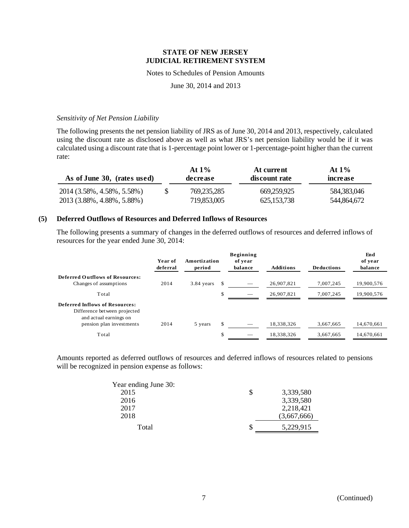#### Notes to Schedules of Pension Amounts

June 30, 2014 and 2013

#### *Sensitivity of Net Pension Liability*

The following presents the net pension liability of JRS as of June 30, 2014 and 2013, respectively, calculated using the discount rate as disclosed above as well as what JRS's net pension liability would be if it was calculated using a discount rate that is 1-percentage point lower or 1-percentage-point higher than the current rate:

| As of June 30, (rates used) |    | At $1\%$<br>decrease | At current<br>discount rate | At $1\%$<br>increase |  |
|-----------------------------|----|----------------------|-----------------------------|----------------------|--|
| 2014 (3.58%, 4.58%, 5.58%)  | S. | 769,235,285          | 669.259.925                 | 584,383,046          |  |
| 2013 (3.88%, 4.88%, 5.88%)  |    | 719,853,005          | 625, 153, 738               | 544,864,672          |  |

### **(5) Deferred Outflows of Resources and Deferred Inflows of Resources**

The following presents a summary of changes in the deferred outflows of resources and deferred inflows of resources for the year ended June 30, 2014:

|                                                                                                                             | Year of<br>deferral | Amortization<br>period |     | Beginning<br>of year<br>balance | <b>Additions</b> | <b>Deductions</b> | End<br>of year<br>balance |
|-----------------------------------------------------------------------------------------------------------------------------|---------------------|------------------------|-----|---------------------------------|------------------|-------------------|---------------------------|
| <b>Deferred Outflows of Resources:</b><br>Changes of assumptions                                                            | 2014                | 3.84 years             |     |                                 | 26,907,821       | 7.007.245         | 19,900,576                |
| Total                                                                                                                       |                     |                        | \$  |                                 | 26,907,821       | 7.007.245         | 19.900.576                |
| <b>Deferred Inflows of Resources:</b><br>Difference between projected<br>and actual earnings on<br>pension plan investments | 2014                | 5 years                | \$. |                                 | 18,338,326       | 3,667,665         | 14,670,661                |
| Total                                                                                                                       |                     |                        | \$  |                                 | 18,338,326       | 3,667,665         | 14,670,661                |

Amounts reported as deferred outflows of resources and deferred inflows of resources related to pensions will be recognized in pension expense as follows:

| Year ending June 30: |             |
|----------------------|-------------|
| 2015                 | 3,339,580   |
| 2016                 | 3,339,580   |
| 2017                 | 2,218,421   |
| 2018                 | (3,667,666) |
| Total                | 5,229,915   |
|                      |             |